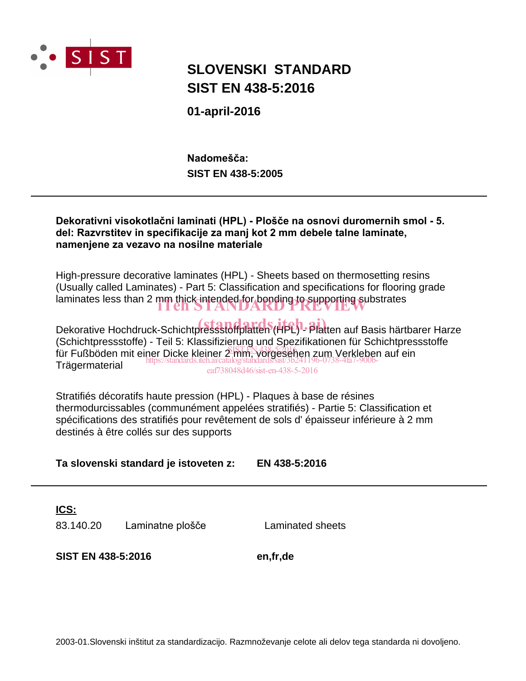

# **SIST EN 438-5:2016 SLOVENSKI STANDARD**

**01-april-2016**

**SIST EN 438-5:2005** Nadomešča:

Dekorativni visokotlačni laminati (HPL) - Plošče na osnovi duromernih smol - 5. del: Razvrstitev in specifikacije za manj kot 2 mm debele talne laminate, namenjene za vezavo na nosilne materiale

High-pressure decorative laminates (HPL) - Sheets based on thermosetting resins (Usually called Laminates) - Part 5: Classification and specifications for flooring grade laminates less than 2 mm thick intended for bonding to supporting substrates

Dekorative Hochdruck-Schichtpressstoffplatten (HDL) - Platten auf Basis härtbarer Harze (Schichtpressstoffe) - Teil 5: Klassifizierung und Spezifikationen für Schichtpressstoffe tür Fußböden mit einer Dicke kleiner 2 mm, vorgesehen zum Verkleben auf ein **Trägermaterial** https://standards.iteh.ai/catalog/standards/sist/3b241196-0738-4fa7-900beaf738048d46/sist-en-438-5-2016

Stratifiés décoratifs haute pression (HPL) - Plaques à base de résines thermodurcissables (communément appelées stratifiés) - Partie 5: Classification et spécifications des stratifiés pour revêtement de sols d' épaisseur inférieure à 2 mm destinés à être collés sur des supports

**Ta slovenski standard je istoveten z: EN 438-5:2016**

**ICS:**

83.140.20 Laminatne plošče Laminated sheets

**SIST EN 438-5:2016 en,fr,de**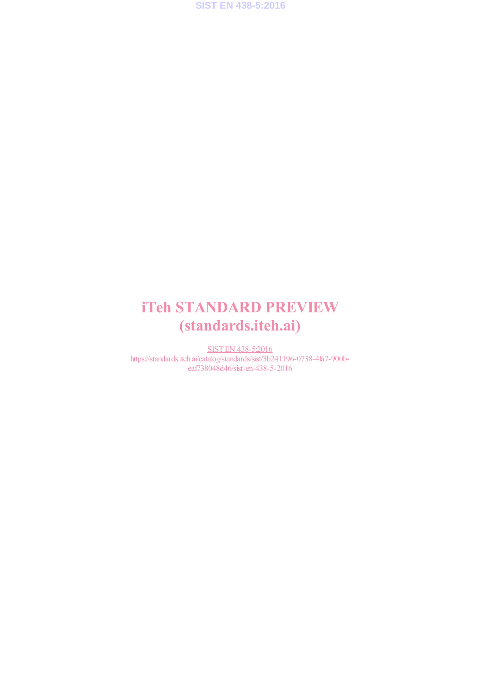

# iTeh STANDARD PREVIEW (standards.iteh.ai)

SIST EN 438-5:2016 https://standards.iteh.ai/catalog/standards/sist/3b241196-0738-4fa7-900beaf738048d46/sist-en-438-5-2016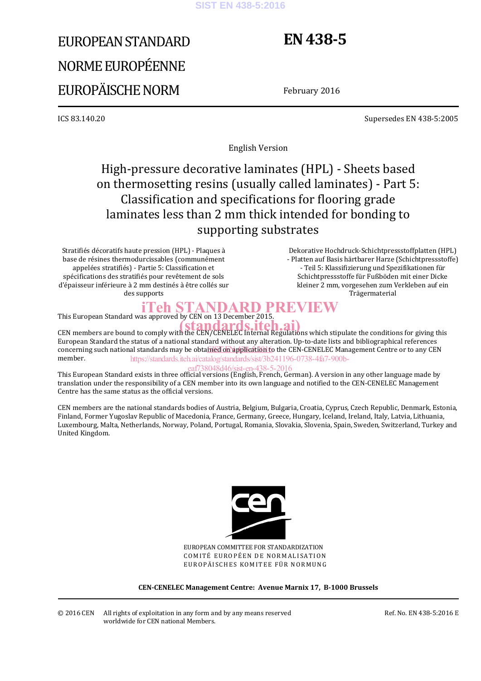#### **SIST EN 438-5:2016**

# EUROPEAN STANDARD NORME EUROPÉENNE EUROPÄISCHE NORM

# **EN 438-5**

February 2016

ICS 83.140.20 Supersedes EN 438-5:2005

English Version

# High-pressure decorative laminates (HPL) - Sheets based on thermosetting resins (usually called laminates) - Part 5: Classification and specifications for flooring grade laminates less than 2 mm thick intended for bonding to supporting substrates

Stratifiés décoratifs haute pression (HPL) - Plaques à base de résines thermodurcissables (communément appelées stratifiés) - Partie 5: Classification et spécifications des stratifiés pour revêtement de sols d'épaisseur inférieure à 2 mm destinés à être collés sur

 Dekorative Hochdruck-Schichtpressstoffplatten (HPL) - Platten auf Basis härtbarer Harze (Schichtpressstoffe) - Teil 5: Klassifizierung und Spezifikationen für Schichtpressstoffe für Fußböden mit einer Dicke kleiner 2 mm, vorgesehen zum Verkleben auf ein Trägermaterial

des supports

This European Standard was approved by CEN on 13 December 2015. iTeh STANDARD PREVIEW

This European Standard was approved by EEN on 15 Becember 2015.<br>CEN members are bound to comply with the CEN/CENELEC Internal Regulations which stipulate the conditions for giving this European Standard the status of a national standard without any alteration. Up-to-date lists and bibliographical references concerning such national standards may be obtamed on application to the CEN-CENELEC Management Centre or to any CEN member. https://standards.iteh.ai/catalog/standards/sist/3b241196-0738-4fa7-900b-

eaf738048d46/sist-en-438-5-2016

This European Standard exists in three official versions (English, French, German). A version in any other language made by translation under the responsibility of a CEN member into its own language and notified to the CEN-CENELEC Management Centre has the same status as the official versions.

CEN members are the national standards bodies of Austria, Belgium, Bulgaria, Croatia, Cyprus, Czech Republic, Denmark, Estonia, Finland, Former Yugoslav Republic of Macedonia, France, Germany, Greece, Hungary, Iceland, Ireland, Italy, Latvia, Lithuania, Luxembourg, Malta, Netherlands, Norway, Poland, Portugal, Romania, Slovakia, Slovenia, Spain, Sweden, Switzerland, Turkey and United Kingdom.



EUROPEAN COMMITTEE FOR STANDARDIZATION COMITÉ EUROPÉEN DE NORMALISATION EUROPÄISCHES KOMITEE FÜR NORMUNG

**CEN-CENELEC Management Centre: Avenue Marnix 17, B-1000 Brussels** 

© 2016 CEN All rights of exploitation in any form and by any means reserved worldwide for CEN national Members.

Ref. No. EN 438-5:2016 E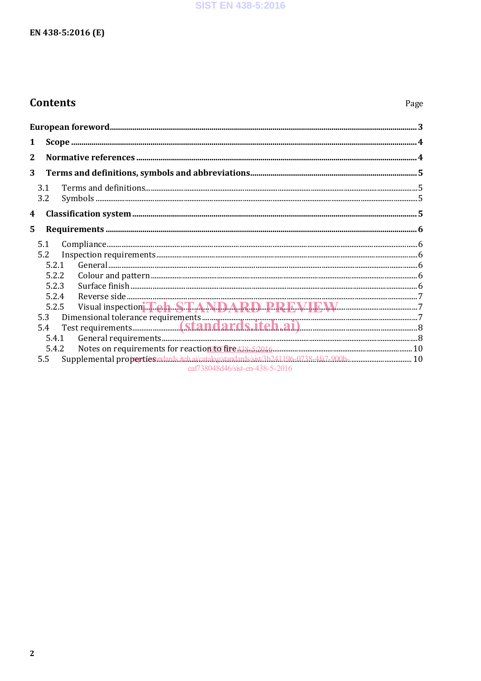# **Contents**

| $\mathbf{1}$            |                                                                                                                                                                                                                                                                                                                                                                                                                                                                                                                                                                                    |  |
|-------------------------|------------------------------------------------------------------------------------------------------------------------------------------------------------------------------------------------------------------------------------------------------------------------------------------------------------------------------------------------------------------------------------------------------------------------------------------------------------------------------------------------------------------------------------------------------------------------------------|--|
| $\overline{2}$          |                                                                                                                                                                                                                                                                                                                                                                                                                                                                                                                                                                                    |  |
| $\overline{\mathbf{3}}$ |                                                                                                                                                                                                                                                                                                                                                                                                                                                                                                                                                                                    |  |
|                         | $\label{thm:main} \text{Terms and definitions.} \tiny\text{} \tiny\text{} \tiny\text{} \tiny\text{} \tiny\text{} \tiny\text{} \tiny\text{} \tiny\text{} \tiny\text{} \tiny\text{} \tiny\text{} \tiny\text{} \tiny\text{} \tiny\text{} \tiny\text{} \tiny\text{} \tiny\text{} \tiny\text{} \tiny\text{} \tiny\text{} \tiny\text{} \tiny\text{} \tiny\text{} \tiny\text{} \tiny\text{} \tiny\text{} \tiny\text{} \tiny\text{} \tiny\text{} \$<br>3.1<br>3.2                                                                                                                          |  |
| 4                       | $\label{thm:main} Classification~system.$                                                                                                                                                                                                                                                                                                                                                                                                                                                                                                                                          |  |
| 5                       |                                                                                                                                                                                                                                                                                                                                                                                                                                                                                                                                                                                    |  |
|                         | $\label{cor:nonlinear} \begin{minipage}[t]{0.9\linewidth} \textbf{Compliance} \end{minipage} \begin{minipage}[t]{0.9\linewidth} \textbf{Inspecation requirements} \end{minipage} \begin{minipage}[t]{0.9\linewidth} \textbf{Conplacement} \end{minipage} \begin{minipage}[t]{0.9\linewidth} \textbf{Conplacement} \end{minipage} \begin{minipage}[t]{0.9\linewidth} \textbf{Conplacement} \end{minipage} \begin{minipage}[t]{0.9\linewidth} \textbf{Conplacement} \end{minipage} \begin{minipage}[t]{0.9\linewidth} \textbf{Conplacement} \end{minipage} \begin{minipage}[$<br>5.1 |  |
|                         | 5.2                                                                                                                                                                                                                                                                                                                                                                                                                                                                                                                                                                                |  |
|                         | 5.2.1                                                                                                                                                                                                                                                                                                                                                                                                                                                                                                                                                                              |  |
|                         | 5.2.2                                                                                                                                                                                                                                                                                                                                                                                                                                                                                                                                                                              |  |
|                         | 5.2.3                                                                                                                                                                                                                                                                                                                                                                                                                                                                                                                                                                              |  |
|                         | 5.2.4                                                                                                                                                                                                                                                                                                                                                                                                                                                                                                                                                                              |  |
|                         | 5.2.5                                                                                                                                                                                                                                                                                                                                                                                                                                                                                                                                                                              |  |
|                         | 5.3                                                                                                                                                                                                                                                                                                                                                                                                                                                                                                                                                                                |  |
|                         | 5.4                                                                                                                                                                                                                                                                                                                                                                                                                                                                                                                                                                                |  |
|                         | 5.4.1                                                                                                                                                                                                                                                                                                                                                                                                                                                                                                                                                                              |  |
|                         | 5.4.2<br>5.5                                                                                                                                                                                                                                                                                                                                                                                                                                                                                                                                                                       |  |
|                         | $20f7290A9346/$ gigt op 429 5 2016                                                                                                                                                                                                                                                                                                                                                                                                                                                                                                                                                 |  |

eaf738048d46/sist-en-438-5-2016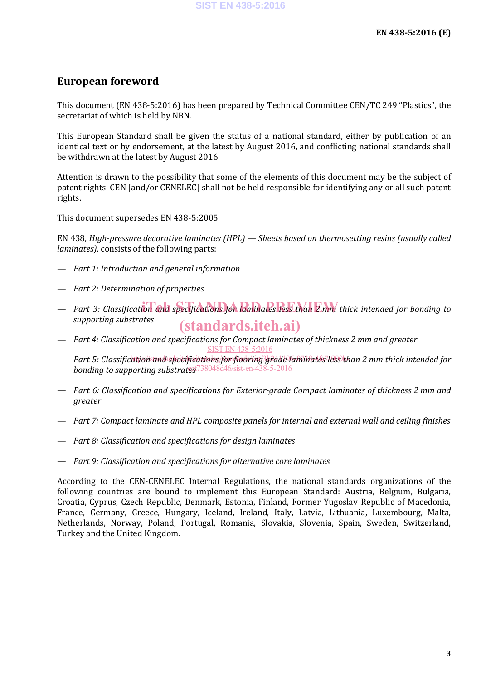# **European foreword**

This document (EN 438-5:2016) has been prepared by Technical Committee CEN/TC 249 "Plastics", the secretariat of which is held by NBN.

This European Standard shall be given the status of a national standard, either by publication of an identical text or by endorsement, at the latest by August 2016, and conflicting national standards shall be withdrawn at the latest by August 2016.

Attention is drawn to the possibility that some of the elements of this document may be the subject of patent rights. CEN [and/or CENELEC] shall not be held responsible for identifying any or all such patent rights.

This document supersedes EN 438-5:2005.

EN 438, *High-pressure decorative laminates (HPL) — Sheets based on thermosetting resins (usually called laminates)*, consists of the following parts:

- *Part 1: Introduction and general information*
- *Part 2: Determination of properties*
- $-$  Part 3: Classification and specifications for laminates less than 2 mm thick intended for bonding to *supporting substrates* (standards.iteh.ai)
- *Part 4: Classification and specifications for Compact laminates of thickness 2 mm and greater* SIST EN 438-5:2016
- Part 5: Classification and specifications for flooring grade laminates less than 2 mm thick intended for **bonding to supporting substrates** 738048d46/sist-en-438-5-2016
- *Part 6: Classification and specifications for Exterior-grade Compact laminates of thickness 2 mm and greater*
- *Part 7: Compact laminate and HPL composite panels for internal and external wall and ceiling finishes*
- *Part 8: Classification and specifications for design laminates*
- *Part 9: Classification and specifications for alternative core laminates*

According to the CEN-CENELEC Internal Regulations, the national standards organizations of the following countries are bound to implement this European Standard: Austria, Belgium, Bulgaria, Croatia, Cyprus, Czech Republic, Denmark, Estonia, Finland, Former Yugoslav Republic of Macedonia, France, Germany, Greece, Hungary, Iceland, Ireland, Italy, Latvia, Lithuania, Luxembourg, Malta, Netherlands, Norway, Poland, Portugal, Romania, Slovakia, Slovenia, Spain, Sweden, Switzerland, Turkey and the United Kingdom.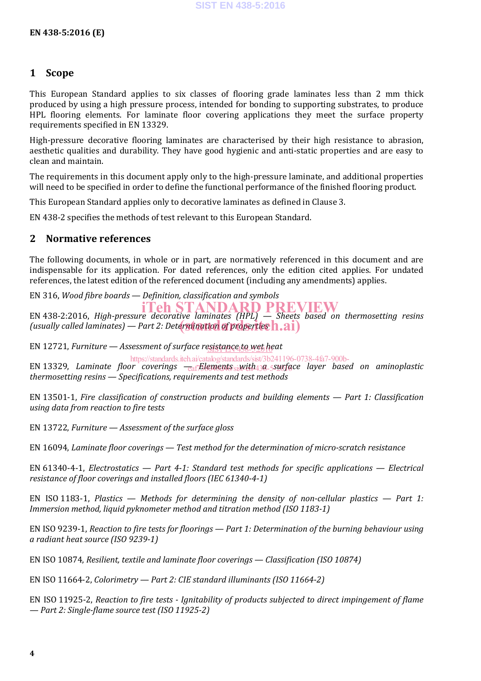#### **1 Scope**

This European Standard applies to six classes of flooring grade laminates less than 2 mm thick produced by using a high pressure process, intended for bonding to supporting substrates, to produce HPL flooring elements. For laminate floor covering applications they meet the surface property requirements specified in EN 13329.

High-pressure decorative flooring laminates are characterised by their high resistance to abrasion, aesthetic qualities and durability. They have good hygienic and anti-static properties and are easy to clean and maintain.

The requirements in this document apply only to the high-pressure laminate, and additional properties will need to be specified in order to define the functional performance of the finished flooring product.

This European Standard applies only to decorative laminates as defined in Clause 3.

EN 438-2 specifies the methods of test relevant to this European Standard.

#### **2 Normative references**

The following documents, in whole or in part, are normatively referenced in this document and are indispensable for its application. For dated references, only the edition cited applies. For undated references, the latest edition of the referenced document (including any amendments) applies.

EN 316, *Wood fibre boards — Definition, classification and symbols*

EN 438-2:2016, *High-pressure decorative laminates* (HPL) – *Sheets based on thermosetting resins div* 150 2.2010, *ingh pressare according haminates* (*in 2)*<br>(usually called laminates) — Part 2: Determination of properties **h.ai**)

EN 12721, *Furniture — Assessment of surface re<u>sistance to wet</u> heat* 

EN 13329, Laminate floor coverings — <sub>eaf</sub>-Elements <sub>si</sub>with<sub>43</sub>a<sub>-5</sub>surface layer based on aminoplastic *thermosetting resins — Specifications, requirements and test methods* https://standards.iteh.ai/catalog/standards/sist/3b241196-0738-4fa7-900b-

EN 13501-1, *Fire classification of construction products and building elements — Part 1: Classification using data from reaction to fire tests*

EN 13722, *Furniture — Assessment of the surface gloss*

EN 16094, *Laminate floor coverings — Test method for the determination of micro-scratch resistance*

EN 61340-4-1, *Electrostatics — Part 4-1: Standard test methods for specific applications — Electrical resistance of floor coverings and installed floors (IEC 61340-4-1)*

EN ISO 1183-1, *Plastics — Methods for determining the density of non-cellular plastics — Part 1: Immersion method, liquid pyknometer method and titration method (ISO 1183-1)*

EN ISO 9239-1, *Reaction to fire tests for floorings — Part 1: Determination of the burning behaviour using a radiant heat source (ISO 9239-1)*

EN ISO 10874, *Resilient, textile and laminate floor coverings — Classification (ISO 10874)*

EN ISO 11664-2, *Colorimetry — Part 2: CIE standard illuminants (ISO 11664-2)*

EN ISO 11925-2, *Reaction to fire tests - Ignitability of products subjected to direct impingement of flame — Part 2: Single-flame source test (ISO 11925-2)*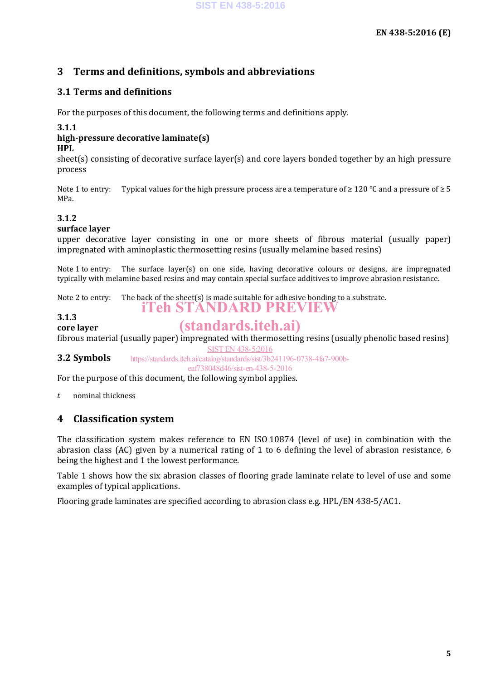# **3 Terms and definitions, symbols and abbreviations**

### **3.1 Terms and definitions**

For the purposes of this document, the following terms and definitions apply.

# **3.1.1**

## **high-pressure decorative laminate(s)**

#### **HPL**

sheet(s) consisting of decorative surface layer(s) and core layers bonded together by an high pressure process

Note 1 to entry: Typical values for the high pressure process are a temperature of  $\geq 120$  °C and a pressure of  $\geq 5$ MPa.

### **3.1.2**

#### **surface layer**

upper decorative layer consisting in one or more sheets of fibrous material (usually paper) impregnated with aminoplastic thermosetting resins (usually melamine based resins)

Note 1 to entry: The surface layer(s) on one side, having decorative colours or designs, are impregnated typically with melamine based resins and may contain special surface additives to improve abrasion resistance.

Note 2 to entry: The back of the sheet(s) is made suitable for adhesive bonding to a substrate.

iTeh STANDARD PREVIEW

#### **3.1.3 core layer**

# (standards.iteh.ai)

fibrous material (usually paper) impregnated with thermosetting resins (usually phenolic based resins) SIST EN 438-5:2016

#### **3.2 Symbols**

https://standards.iteh.ai/catalog/standards/sist/3b241196-0738-4fa7-900beaf738048d46/sist-en-438-5-2016

For the purpose of this document, the following symbol applies.

*t* nominal thickness

## **4 Classification system**

The classification system makes reference to EN ISO 10874 (level of use) in combination with the abrasion class (AC) given by a numerical rating of 1 to 6 defining the level of abrasion resistance, 6 being the highest and 1 the lowest performance.

Table 1 shows how the six abrasion classes of flooring grade laminate relate to level of use and some examples of typical applications.

Flooring grade laminates are specified according to abrasion class e.g. HPL/EN 438-5/AC1.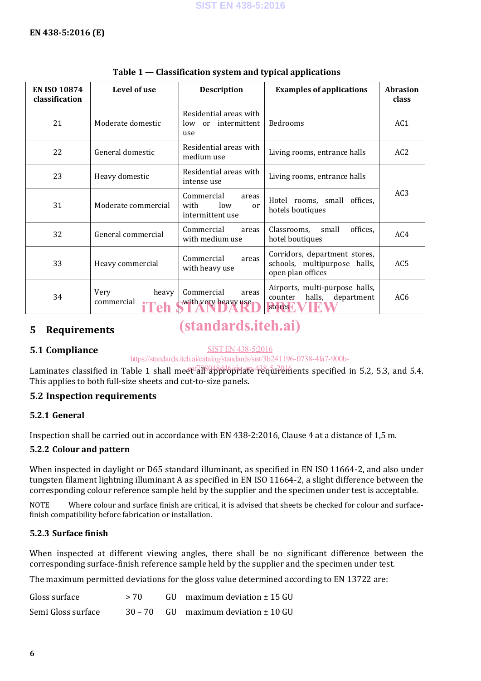| <b>EN ISO 10874</b><br>classification | Level of use                | <b>Description</b>                                           | <b>Examples of applications</b>                                                       | <b>Abrasion</b><br>class |  |
|---------------------------------------|-----------------------------|--------------------------------------------------------------|---------------------------------------------------------------------------------------|--------------------------|--|
| 21                                    | Moderate domestic           | Residential areas with<br>or intermittent<br>low<br>use      | Bedrooms                                                                              | AC1                      |  |
| 22                                    | General domestic            | Residential areas with<br>medium use                         | Living rooms, entrance halls                                                          | AC <sub>2</sub>          |  |
| 23                                    | Heavy domestic              | Residential areas with<br>intense use                        | Living rooms, entrance halls                                                          |                          |  |
| 31                                    | Moderate commercial         | Commercial<br>areas<br>with<br>low<br>or<br>intermittent use | Hotel rooms, small<br>offices,<br>hotels boutiques                                    | AC <sub>3</sub>          |  |
| 32                                    | General commercial          | Commercial<br>areas<br>with medium use                       | Classrooms,<br>offices,<br>small<br>hotel boutiques                                   | AC4                      |  |
| 33                                    | Heavy commercial            | Commercial<br>areas<br>with heavy use                        | Corridors, department stores,<br>schools, multipurpose<br>halls,<br>open plan offices | AC <sub>5</sub>          |  |
| 34                                    | heavy<br>Very<br>commercial | Commercial<br>areas<br>with very heavy use                   | Airports, multi-purpose halls,<br>halls, department<br>counter<br>stores              | AC6                      |  |

**Table 1 — Classification system and typical applications**

# **5 Requirements**

# (standards.iteh.ai)

## **5.1 Compliance**

#### SIST EN 438-5:2016

https://standards.iteh.ai/catalog/standards/sist/3b241196-0738-4fa7-900b-

Laminates classified in Table 1 shall meet all appropriate requirements specified in 5.2, 5.3, and 5.4. This applies to both full-size sheets and cut-to-size panels.

## **5.2 Inspection requirements**

## **5.2.1 General**

Inspection shall be carried out in accordance with EN 438-2:2016, Clause 4 at a distance of 1,5 m.

## **5.2.2 Colour and pattern**

When inspected in daylight or D65 standard illuminant, as specified in EN ISO 11664-2, and also under tungsten filament lightning illuminant A as specified in EN ISO 11664-2, a slight difference between the corresponding colour reference sample held by the supplier and the specimen under test is acceptable.

NOTE Where colour and surface finish are critical, it is advised that sheets be checked for colour and surfacefinish compatibility before fabrication or installation.

## **5.2.3 Surface finish**

When inspected at different viewing angles, there shall be no significant difference between the corresponding surface-finish reference sample held by the supplier and the specimen under test.

The maximum permitted deviations for the gloss value determined according to EN 13722 are:

| Gloss surface      | > 70 | $GU$ maximum deviation $\pm$ 15 GU         |
|--------------------|------|--------------------------------------------|
| Semi Gloss surface |      | $30 - 70$ GU maximum deviation $\pm 10$ GU |